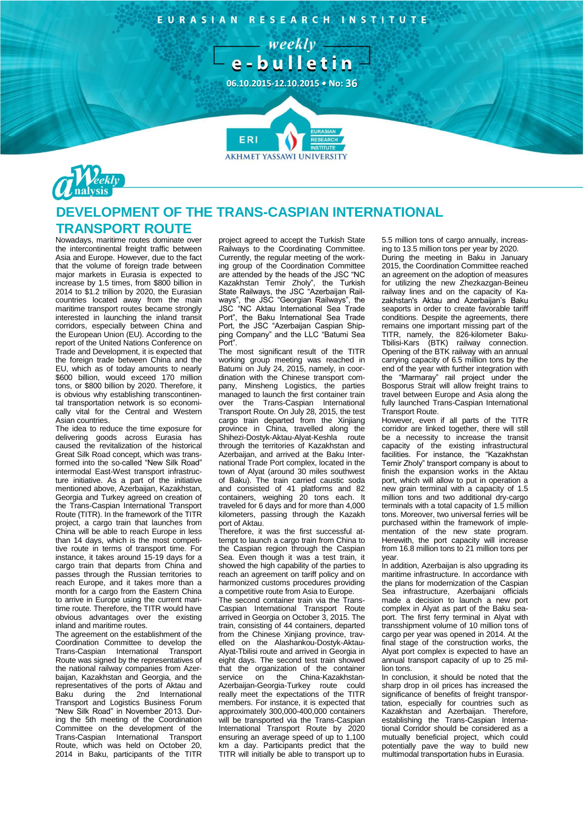EURASIAN RESEARCH INSTITUTE



**AKHMET YASSAWI UNIVERSITY** 



## **DEVELOPMENT OF THE TRANS-CASPIAN INTERNATIONAL TRANSPORT ROUTE**

ERI

Nowadays, maritime routes dominate over the intercontinental freight traffic between Asia and Europe. However, due to the fact that the volume of foreign trade between major markets in Eurasia is expected to increase by 1.5 times, from \$800 billion in 2014 to \$1.2 trillion by 2020, the Eurasian countries located away from the main maritime transport routes became strongly interested in launching the inland transit corridors, especially between China and the European Union (EU). According to the report of the United Nations Conference on Trade and Development, it is expected that the foreign trade between China and the EU, which as of today amounts to nearly \$600 billion, would exceed 170 million tons, or \$800 billion by 2020. Therefore, it is obvious why establishing transcontinental transportation network is so economically vital for the Central and Western Asian countries.

The idea to reduce the time exposure for delivering goods across Eurasia has caused the revitalization of the historical Great Silk Road concept, which was transformed into the so-called "New Silk Road" intermodal East-West transport infrastructure initiative. As a part of the initiative mentioned above, Azerbaijan, Kazakhstan, Georgia and Turkey agreed on creation of the Trans-Caspian International Transport Route (TITR). In the framework of the TITR project, a cargo train that launches from China will be able to reach Europe in less than 14 days, which is the most competitive route in terms of transport time. For instance, it takes around 15-19 days for a cargo train that departs from China and passes through the Russian territories to reach Europe, and it takes more than a month for a cargo from the Eastern China to arrive in Europe using the current maritime route. Therefore, the TITR would have obvious advantages over the existing inland and maritime routes.

The agreement on the establishment of the Coordination Committee to develop the Trans-Caspian International Transport Route was signed by the representatives of the national railway companies from Azerbaijan, Kazakhstan and Georgia, and the representatives of the ports of Aktau and Baku during the 2nd International Transport and Logistics Business Forum "New Silk Road" in November 2013. During the 5th meeting of the Coordination Committee on the development of the Trans-Caspian International Transport Route, which was held on October 20, 2014 in Baku, participants of the TITR

project agreed to accept the Turkish State Railways to the Coordinating Committee. Currently, the regular meeting of the working group of the Coordination Committee are attended by the heads of the JSC "NC Kazakhstan Temir Zholy", the Turkish State Railways, the JSC "Azerbaijan Railways", the JSC "Georgian Railways", the JSC "NC Aktau International Sea Trade Port", the Baku International Sea Trade Port, the JSC "Azerbaijan Caspian Shipping Company" and the LLC "Batumi Sea Port".

The most significant result of the TITR working group meeting was reached in Batumi on July 24, 2015, namely, in coordination with the Chinese transport company, Minsheng Logistics, the parties managed to launch the first container train over the Trans-Caspian International Transport Route. On July 28, 2015, the test cargo train departed from the Xinjiang province in China, travelled along the Shihezi-Dostyk-Aktau-Alyat-Keshla route through the territories of Kazakhstan and Azerbaijan, and arrived at the Baku International Trade Port complex, located in the town of Alyat (around 30 miles southwest of Baku). The train carried caustic soda and consisted of 41 platforms and 82 containers, weighing 20 tons each. It traveled for 6 days and for more than 4,000 kilometers, passing through the Kazakh port of Aktau.

Therefore, it was the first successful attempt to launch a cargo train from China to the Caspian region through the Caspian Sea. Even though it was a test train, it showed the high capability of the parties to reach an agreement on tariff policy and on harmonized customs procedures providing a competitive route from Asia to Europe.

The second container train via the Trans-Caspian International Transport Route arrived in Georgia on October 3, 2015. The train, consisting of 44 containers, departed from the Chinese Xinjiang province, travelled on the Alashankou-Dostyk-Aktau-Alyat-Tbilisi route and arrived in Georgia in eight days. The second test train showed that the organization of the container<br>service on the China-Kazakhstan-China-Kazakhstan-Azerbaijan-Georgia-Turkey route could really meet the expectations of the TITR members. For instance, it is expected that approximately 300,000-400,000 containers will be transported via the Trans-Caspian International Transport Route by 2020 ensuring an average speed of up to 1,100 km a day. Participants predict that the TITR will initially be able to transport up to 5.5 million tons of cargo annually, increasing to 13.5 million tons per year by 2020.

During the meeting in Baku in January 2015, the Coordination Committee reached an agreement on the adoption of measures for utilizing the new Zhezkazgan-Beineu railway lines and on the capacity of Kazakhstan's Aktau and Azerbaijan's Baku seaports in order to create favorable tariff conditions. Despite the agreements, there remains one important missing part of the TITR, namely, the 826-kilometer Baku-Tbilisi-Kars (BTK) railway connection. Opening of the BTK railway with an annual carrying capacity of 6.5 million tons by the end of the year with further integration with the "Marmaray" rail project under the Bosporus Strait will allow freight trains to travel between Europe and Asia along the fully launched Trans-Caspian International Transport Route.

However, even if all parts of the TITR corridor are linked together, there will still be a necessity to increase the transit capacity of the existing infrastructural facilities. For instance, the "Kazakhstan Temir Zholy" transport company is about to finish the expansion works in the Aktau port, which will allow to put in operation a new grain terminal with a capacity of 1.5 million tons and two additional dry-cargo terminals with a total capacity of 1.5 million tons. Moreover, two universal ferries will be purchased within the framework of implementation of the new state program. Herewith, the port capacity will increase from 16.8 million tons to 21 million tons per year.

In addition, Azerbaijan is also upgrading its maritime infrastructure. In accordance with the plans for modernization of the Caspian Sea infrastructure, Azerbaijani officials made a decision to launch a new port complex in Alyat as part of the Baku seaport. The first ferry terminal in Alyat with transshipment volume of 10 million tons of cargo per year was opened in 2014. At the final stage of the construction works, the Alyat port complex is expected to have an annual transport capacity of up to 25 million tons.

In conclusion, it should be noted that the sharp drop in oil prices has increased the significance of benefits of freight transportation, especially for countries such as Kazakhstan and Azerbaijan. Therefore, establishing the Trans-Caspian International Corridor should be considered as a mutually beneficial project, which could potentially pave the way to build new multimodal transportation hubs in Eurasia.